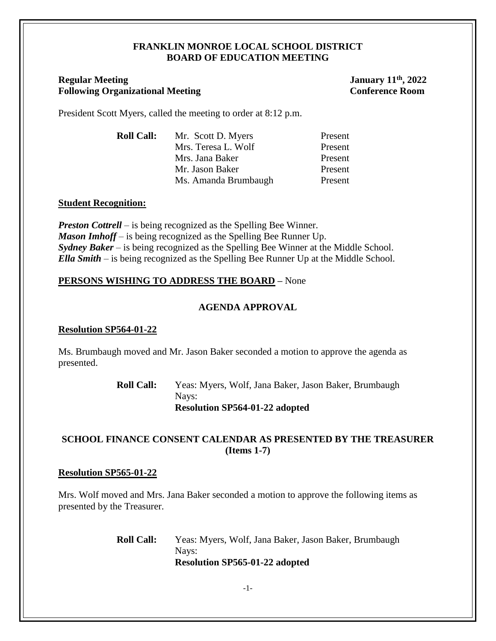### **FRANKLIN MONROE LOCAL SCHOOL DISTRICT BOARD OF EDUCATION MEETING**

# **Regular Meeting January 11<sup>th</sup>, 2022 Following Organizational Meeting Conference Room**

President Scott Myers, called the meeting to order at 8:12 p.m.

| <b>Roll Call:</b> | Mr. Scott D. Myers   | Present |
|-------------------|----------------------|---------|
|                   | Mrs. Teresa L. Wolf  | Present |
|                   | Mrs. Jana Baker      | Present |
|                   | Mr. Jason Baker      | Present |
|                   | Ms. Amanda Brumbaugh | Present |

# **Student Recognition:**

*Preston Cottrell –* is being recognized as the Spelling Bee Winner. *Mason Imhoff* – is being recognized as the Spelling Bee Runner Up. *Sydney Baker* – is being recognized as the Spelling Bee Winner at the Middle School. *Ella Smith* – is being recognized as the Spelling Bee Runner Up at the Middle School.

# **PERSONS WISHING TO ADDRESS THE BOARD –** None

# **AGENDA APPROVAL**

## **Resolution SP564-01-22**

Ms. Brumbaugh moved and Mr. Jason Baker seconded a motion to approve the agenda as presented.

> **Roll Call:** Yeas: Myers, Wolf, Jana Baker, Jason Baker, Brumbaugh Nays: **Resolution SP564-01-22 adopted**

# **SCHOOL FINANCE CONSENT CALENDAR AS PRESENTED BY THE TREASURER (Items 1-7)**

## **Resolution SP565-01-22**

Mrs. Wolf moved and Mrs. Jana Baker seconded a motion to approve the following items as presented by the Treasurer.

> **Roll Call:** Yeas: Myers, Wolf, Jana Baker, Jason Baker, Brumbaugh Nays: **Resolution SP565-01-22 adopted**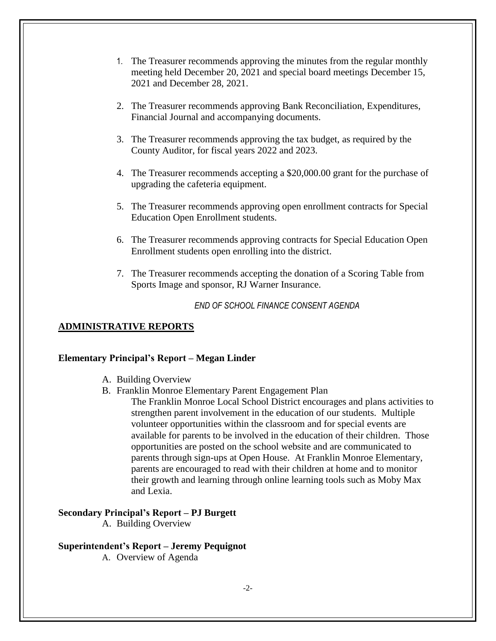- 1. The Treasurer recommends approving the minutes from the regular monthly meeting held December 20, 2021 and special board meetings December 15, 2021 and December 28, 2021.
- 2. The Treasurer recommends approving Bank Reconciliation, Expenditures, Financial Journal and accompanying documents.
- 3. The Treasurer recommends approving the tax budget, as required by the County Auditor, for fiscal years 2022 and 2023.
- 4. The Treasurer recommends accepting a \$20,000.00 grant for the purchase of upgrading the cafeteria equipment.
- 5. The Treasurer recommends approving open enrollment contracts for Special Education Open Enrollment students.
- 6. The Treasurer recommends approving contracts for Special Education Open Enrollment students open enrolling into the district.
- 7. The Treasurer recommends accepting the donation of a Scoring Table from Sports Image and sponsor, RJ Warner Insurance.

*END OF SCHOOL FINANCE CONSENT AGENDA*

#### **ADMINISTRATIVE REPORTS**

#### **Elementary Principal's Report – Megan Linder**

- A. Building Overview
- B. Franklin Monroe Elementary Parent Engagement Plan
	- The Franklin Monroe Local School District encourages and plans activities to strengthen parent involvement in the education of our students. Multiple volunteer opportunities within the classroom and for special events are available for parents to be involved in the education of their children. Those opportunities are posted on the school website and are communicated to parents through sign-ups at Open House. At Franklin Monroe Elementary, parents are encouraged to read with their children at home and to monitor their growth and learning through online learning tools such as Moby Max and Lexia.

# **Secondary Principal's Report – PJ Burgett**

A. Building Overview

## **Superintendent's Report – Jeremy Pequignot**

A. Overview of Agenda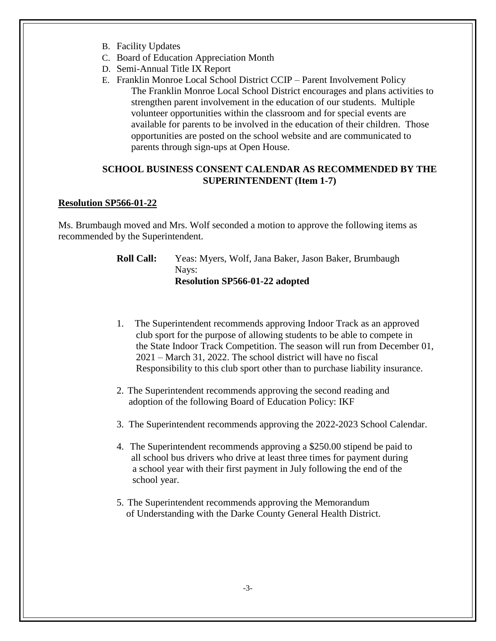- B. Facility Updates
- C. Board of Education Appreciation Month
- D. Semi-Annual Title IX Report
- E. Franklin Monroe Local School District CCIP Parent Involvement Policy The Franklin Monroe Local School District encourages and plans activities to strengthen parent involvement in the education of our students. Multiple volunteer opportunities within the classroom and for special events are available for parents to be involved in the education of their children. Those opportunities are posted on the school website and are communicated to parents through sign-ups at Open House.

# **SCHOOL BUSINESS CONSENT CALENDAR AS RECOMMENDED BY THE SUPERINTENDENT (Item 1-7)**

## **Resolution SP566-01-22**

Ms. Brumbaugh moved and Mrs. Wolf seconded a motion to approve the following items as recommended by the Superintendent.

> **Roll Call:** Yeas: Myers, Wolf, Jana Baker, Jason Baker, Brumbaugh Nays: **Resolution SP566-01-22 adopted**

- 1. The Superintendent recommends approving Indoor Track as an approved club sport for the purpose of allowing students to be able to compete in the State Indoor Track Competition. The season will run from December 01, 2021 – March 31, 2022. The school district will have no fiscal Responsibility to this club sport other than to purchase liability insurance.
- 2. The Superintendent recommends approving the second reading and adoption of the following Board of Education Policy: IKF
- 3. The Superintendent recommends approving the 2022-2023 School Calendar.
- 4. The Superintendent recommends approving a \$250.00 stipend be paid to all school bus drivers who drive at least three times for payment during a school year with their first payment in July following the end of the school year.
- 5. The Superintendent recommends approving the Memorandum of Understanding with the Darke County General Health District.